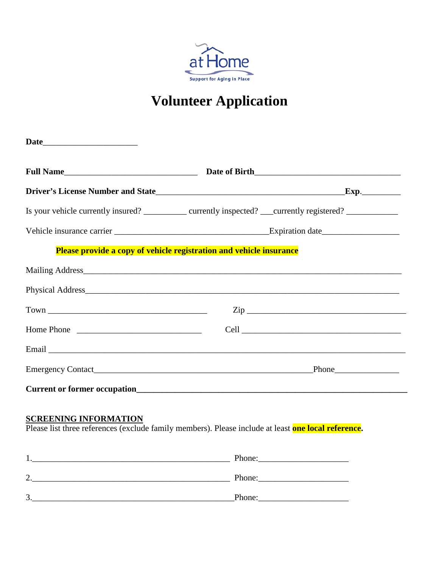

# **Volunteer Application**

|                              | Is your vehicle currently insured? _________ currently inspected? ___ currently registered? ________                                                                                                                                                                                        |
|------------------------------|---------------------------------------------------------------------------------------------------------------------------------------------------------------------------------------------------------------------------------------------------------------------------------------------|
|                              |                                                                                                                                                                                                                                                                                             |
|                              | Please provide a copy of vehicle registration and vehicle insurance                                                                                                                                                                                                                         |
|                              | Mailing Address <b>Mailing</b> Address <b>Mailing</b> Address <b>Mailing</b> Address <b>Mailing</b> Address <b>Mailing</b> Address <b>Mailing</b> Address <b>Mailing</b> Address <b>Mailing</b> Address <b>Mailing</b> Address <b>Mailing</b> Address <b>Mailing</b> Address <b>Mailing</b> |
|                              |                                                                                                                                                                                                                                                                                             |
|                              | $\mathsf{Zip}\_$                                                                                                                                                                                                                                                                            |
| Home Phone                   |                                                                                                                                                                                                                                                                                             |
|                              |                                                                                                                                                                                                                                                                                             |
|                              |                                                                                                                                                                                                                                                                                             |
|                              |                                                                                                                                                                                                                                                                                             |
| <b>SCREENING INFORMATION</b> | Please list three references (exclude family members). Please include at least one local reference.                                                                                                                                                                                         |
|                              | 1. Phone: Phone: 2008. Phone: 2008. Phone: 2008. Phone: 2008. Phone: 2008. Phone: 2008. Phone: 2008. Phone: 2008. Phone: 2008. 2008. 2008. 2008. 2008. 2008. 2008. 2008. 2008. 2008. 2008. 2008. 2008. 2008. 2008. 2008. 2008.                                                              |
|                              | 2. Phone: Phone: 2.                                                                                                                                                                                                                                                                         |

3.\_\_\_\_\_\_\_\_\_\_\_\_\_\_\_\_\_\_\_\_\_\_\_\_\_\_\_\_\_\_\_\_\_\_\_\_\_\_\_\_\_\_\_\_\_\_\_Phone:\_\_\_\_\_\_\_\_\_\_\_\_\_\_\_\_\_\_\_\_\_